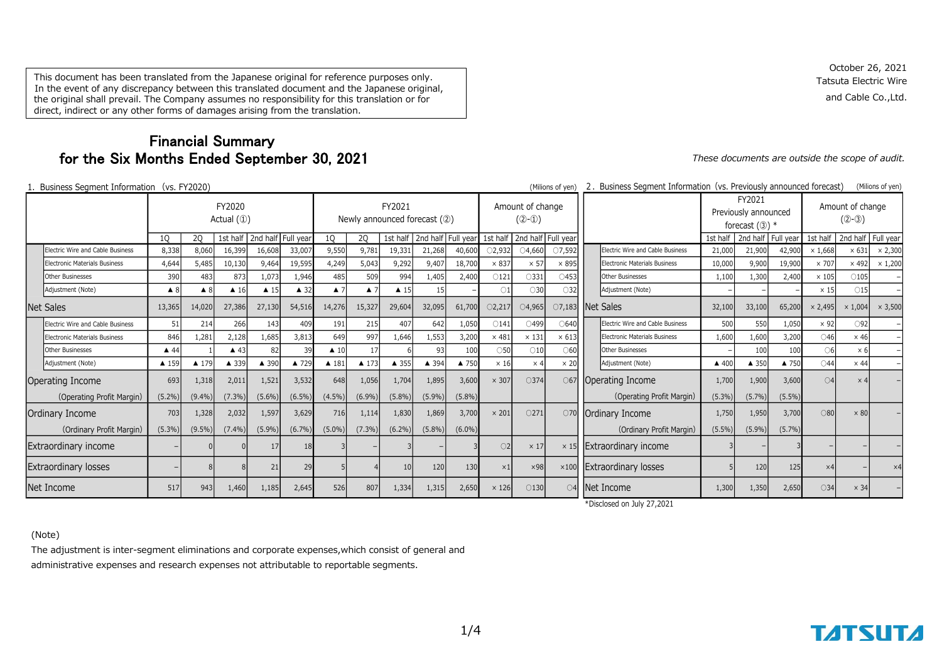This document has been translated from the Japanese original for reference purposes only. In the event of any discrepancy between this translated document and the Japanese original, the original shall prevail. The Company assumes no responsibility for this translation or for direct, indirect or any other forms of damages arising from the translation.

## Financial Summary for the Six Months Ended September 30, 2021 *These documents are outside the scope of audit.*

October 26, 2021 Tatsuta Electric Wire and Cable Co.,Ltd.

|                      | Business Segment Information (vs. FY2020) |                                 |                      |                |                    |                                          |                      |                    |                |                             |           | (Milions of yen) |                    | 2. Business Segment Information (vs. Previously announced forecast) |  |                                      |                             |          |           | (Milions of yen) |                    |                |
|----------------------|-------------------------------------------|---------------------------------|----------------------|----------------|--------------------|------------------------------------------|----------------------|--------------------|----------------|-----------------------------|-----------|------------------|--------------------|---------------------------------------------------------------------|--|--------------------------------------|-----------------------------|----------|-----------|------------------|--------------------|----------------|
|                      |                                           | FY2020<br>Actual $(\mathbb{Q})$ |                      |                |                    | FY2021<br>Newly announced forecast $(2)$ |                      |                    |                | Amount of change<br>$(2-0)$ |           |                  |                    | FY2021<br>Previously announced<br>forecast $(3)$ *                  |  |                                      | Amount of change<br>$(2-3)$ |          |           |                  |                    |                |
|                      |                                           | 10                              | 20                   | 1st half       | 2nd half Full year |                                          | 10                   | 20                 |                | 1st half 2nd half Full year |           | 1st half         | 2nd half Full year |                                                                     |  |                                      | 1st half                    | 2nd half | Full year | 1st half         | 2nd half Full year |                |
|                      | Electric Wire and Cable Business          | 8,338                           | 8,060                | 16,399         | 16,608             | 33,007                                   | 9,550                | 9,781              | 19,331         | 21,268                      | 40,600    | O2,932           | $\bigcirc$ 4,660   | O7,592                                                              |  | Electric Wire and Cable Business     | 21,000                      | 21,900   | 42,900    | $\times$ 1,668   | $\times 631$       | $\times$ 2,300 |
|                      | Electronic Materials Business             | 4,644                           | 5,485                | 10,130         | 9,464              | 19,595                                   | 4,249                | 5,043              | 9,292          | 9,407                       | 18,700    | $\times$ 837     | $\times 57$        | $\times$ 895                                                        |  | <b>Electronic Materials Business</b> | 10,000                      | 9,900    | 19,900    | $\times 707$     | $\times$ 492       | $\times$ 1,200 |
|                      | Other Businesses                          | 390                             | 483                  | 873            | 1,073              | 1,946                                    | 485                  | 509                | 994            | 1,405                       | 2,400     | $\bigcirc$ 121   | $\bigcirc$ 331     | ○453                                                                |  | Other Businesses                     | 1,100                       | 1,300    | 2,400     | $\times$ 105     | $\bigcirc$ 105     |                |
|                      | Adjustment (Note)                         | $\blacktriangle$ 8              | ۶ ه                  | $\triangle$ 16 | $\triangle$ 15     | $\triangle$ 32                           | $\blacktriangle$ 7   | $\blacktriangle$ 7 | $\triangle$ 15 |                             |           | $\bigcirc$ 1     | $\bigcirc$ 30      | ○32                                                                 |  | Adjustment (Note)                    |                             |          |           | $\times$ 15      | O15                |                |
|                      | Net Sales                                 | 13,365                          | 14,020               | 27,386         | 27,130             | 54,516                                   | 14,276               | 15,327             | 29,604         | 32,095                      | 61,700    | O2,217           | $\bigcirc$ 4,965   | O7,183                                                              |  | <b>Net Sales</b>                     | 32,100                      | 33,100   | 65,200    | $\times$ 2,495   | $\times$ 1,004     | $\times$ 3,500 |
|                      | Electric Wire and Cable Business          | 51                              | 214                  | 266            | 143                | 409                                      | 191                  | 215                | 407            | 642                         | 1,050     | $\bigcirc$ 141   | ○499               | ○640                                                                |  | Electric Wire and Cable Business     | 500                         | 550      | 1,050     | $\times$ 92      | O92                |                |
|                      | Electronic Materials Business             | 846                             | 1,28                 | 2,128          | 1,685              | 3,813                                    | 649                  | 997                | 1,646          | 1,553                       | 3,200     | $\times$ 481     | $\times$ 131       | $\times$ 613                                                        |  | Electronic Materials Business        | 1,600                       | 1,600    | 3,200     | $\bigcirc$ 46    | $\times$ 46        |                |
|                      | <b>Other Businesses</b>                   | $\triangle$ 44                  |                      | $\triangle$ 43 | 82                 | 39                                       | $\blacktriangle$ 10  | 17                 |                | 93                          | 100       | $\bigcirc$ 50    | $\bigcirc$ 10      | $\circ$ 60                                                          |  | Other Businesses                     |                             | 100      | 100       | $\circ$          | $\times$ 6         |                |
|                      | Adjustment (Note)                         | ▲ 159                           | $\blacktriangle$ 179 | ▲ 339          | ▲ 390              | ▲ 729                                    | $\blacktriangle$ 181 | $\triangle$ 173    | ▲ 355          | ▲ 394                       | ▲ 750     | $\times 16$      | $\times 4$         | $\times 20$                                                         |  | Adjustment (Note)                    | ▲ 400                       | ▲ 350    | ▲ 750     | $\bigcirc$ 44    | $\times$ 44        |                |
| Operating Income     |                                           | 693                             | 1,318                | 2,011          | 1,521              | 3,532                                    | 648                  | 1,056              | 1,704          | 1,895                       | 3,600     | $\times$ 307     | ◯374               | $\bigcirc$ 67                                                       |  | Operating Income                     | 1,700                       | 1,900    | 3,600     | $\bigcap$ 4      | $\times$ 4         |                |
|                      | (Operating Profit Margin)                 | $(5.2\%)$                       | (9.4%                | (7.3%)         | (5.6%)             | (6.5%)                                   | $(4.5\%)$            | (6.9%)             | (5.8%          | (5.9%)                      | (5.8%)    |                  |                    |                                                                     |  | (Operating Profit Margin)            | (5.3%)                      | (5.7%)   | (5.5%)    |                  |                    |                |
|                      | Ordinary Income                           | 703                             | 1,328                | 2,032          | 1,597              | 3,629                                    | 716                  | 1,114              | 1,830          | 1,869                       | 3,700     | $\times 201$     | O271               | O70                                                                 |  | Ordinary Income                      | 1,750                       | 1,950    | 3,700     | $\bigcirc$ 80    | $\times 80$        |                |
|                      | (Ordinary Profit Margin)                  | $(5.3\%)$                       | $(9.5\%)$            | $(7.4\%)$      | (5.9%)             | $(6.7\%)$                                | $(5.0\%)$            | $(7.3\%)$          | (6.2%)         | $(5.8\%)$                   | $(6.0\%)$ |                  |                    |                                                                     |  | (Ordinary Profit Margin)             | (5.5%)                      | (5.9%)   | (5.7%)    |                  |                    |                |
| Extraordinary income |                                           |                                 |                      |                | 17                 |                                          |                      |                    |                |                             |           | O2               | $\times$ 17        | $\times$ 15                                                         |  | <b>Extraordinary income</b>          |                             |          |           |                  |                    |                |
|                      | <b>Extraordinary losses</b>               |                                 |                      |                | 21                 | 29                                       |                      |                    | 10             | 120                         | 130       | $\times 1$       | ×98                | $\times 100$                                                        |  | <b>Extraordinary losses</b>          |                             | 120      | 125       | $\times$ 4       |                    | $\times$ 4     |
| Net Income           |                                           | 517                             | 943                  | 1,460          | 1,185              | 2,645                                    | 526                  | 807                | 1,334          | 1,315                       | 2,650     | $\times$ 126     | $\bigcirc$ 130     | O <sub>4</sub>                                                      |  | Net Income                           | 1,300                       | 1,350    | 2,650     | $O$ 34           | $\times$ 34        |                |

\*Disclosed on July 27,2021

(Note)

The adjustment is inter-segment eliminations and corporate expenses,which consist of general and administrative expenses and research expenses not attributable to reportable segments.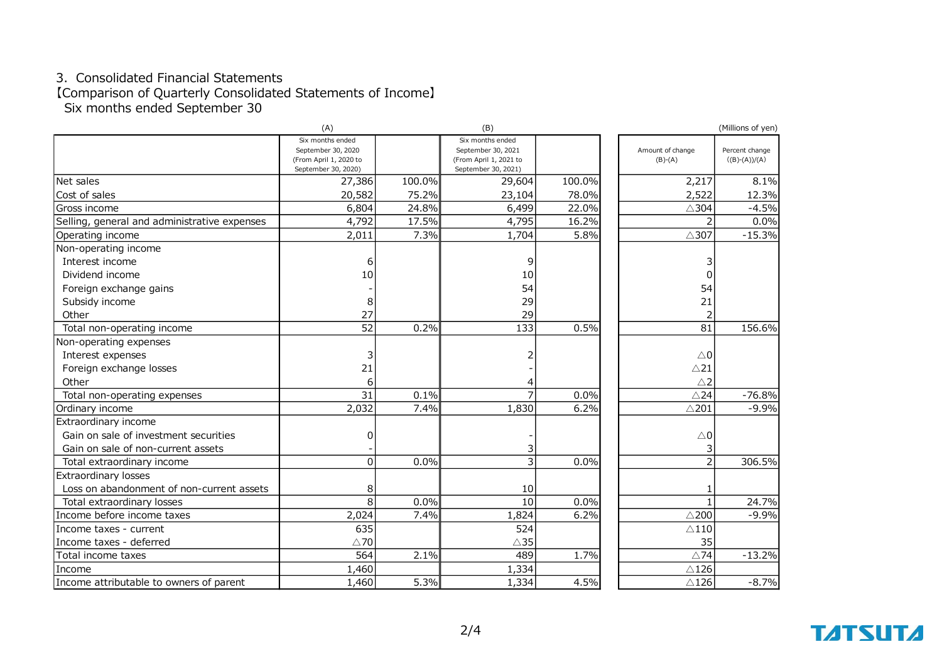## 3.Consolidated Financial Statements 【Comparison of Quarterly Consolidated Statements of Income】 Six months ended September 30

|                                              | (A)                                                                                     |        | (B)                                                                                     |        |                               | (Millions of yen)                 |
|----------------------------------------------|-----------------------------------------------------------------------------------------|--------|-----------------------------------------------------------------------------------------|--------|-------------------------------|-----------------------------------|
|                                              | Six months ended<br>September 30, 2020<br>(From April 1, 2020 to<br>September 30, 2020) |        | Six months ended<br>September 30, 2021<br>(From April 1, 2021 to<br>September 30, 2021) |        | Amount of change<br>$(B)-(A)$ | Percent change<br>$((B)-(A))/(A)$ |
| Net sales                                    | 27,386                                                                                  | 100.0% | 29,604                                                                                  | 100.0% | 2,217                         | 8.1%                              |
| Cost of sales                                | 20,582                                                                                  | 75.2%  | 23,104                                                                                  | 78.0%  | 2,522                         | 12.3%                             |
| Gross income                                 | 6,804                                                                                   | 24.8%  | 6,499                                                                                   | 22.0%  | $\triangle$ 304               | $-4.5%$                           |
| Selling, general and administrative expenses | 4,792                                                                                   | 17.5%  | 4,795                                                                                   | 16.2%  |                               | 0.0%                              |
| Operating income                             | 2,011                                                                                   | 7.3%   | 1,704                                                                                   | 5.8%   | $\triangle$ 307               | $-15.3%$                          |
| Non-operating income                         |                                                                                         |        |                                                                                         |        |                               |                                   |
| Interest income                              | 6                                                                                       |        | 9                                                                                       |        |                               |                                   |
| Dividend income                              | 10                                                                                      |        | 10                                                                                      |        | O                             |                                   |
| Foreign exchange gains                       |                                                                                         |        | 54                                                                                      |        | 54                            |                                   |
| Subsidy income                               | 8                                                                                       |        | 29                                                                                      |        | 21                            |                                   |
| Other                                        | 27                                                                                      |        | 29                                                                                      |        |                               |                                   |
| Total non-operating income                   | 52                                                                                      | 0.2%   | 133                                                                                     | 0.5%   | 81                            | 156.6%                            |
| Non-operating expenses                       |                                                                                         |        |                                                                                         |        |                               |                                   |
| Interest expenses                            | 3                                                                                       |        |                                                                                         |        | $\triangle 0$                 |                                   |
| Foreign exchange losses                      | 21                                                                                      |        |                                                                                         |        | $\triangle$ 21                |                                   |
| Other                                        | 6                                                                                       |        |                                                                                         |        | $\triangle$ 2                 |                                   |
| Total non-operating expenses                 | $\overline{31}$                                                                         | 0.1%   |                                                                                         | 0.0%   | $\triangle$ 24                | $-76.8%$                          |
| Ordinary income                              | 2,032                                                                                   | 7.4%   | 1,830                                                                                   | 6.2%   | $\triangle$ 201               | $-9.9%$                           |
| Extraordinary income                         |                                                                                         |        |                                                                                         |        |                               |                                   |
| Gain on sale of investment securities        | 0                                                                                       |        |                                                                                         |        | $\triangle 0$                 |                                   |
| Gain on sale of non-current assets           |                                                                                         |        | 3                                                                                       |        |                               |                                   |
| Total extraordinary income                   | $\mathbf 0$                                                                             | 0.0%   | 3                                                                                       | 0.0%   | 2                             | 306.5%                            |
| <b>Extraordinary losses</b>                  |                                                                                         |        |                                                                                         |        |                               |                                   |
| Loss on abandonment of non-current assets    | 8                                                                                       |        | 10                                                                                      |        |                               |                                   |
| Total extraordinary losses                   | 8                                                                                       | 0.0%   | 10                                                                                      | 0.0%   |                               | 24.7%                             |
| Income before income taxes                   | 2,024                                                                                   | 7.4%   | 1,824                                                                                   | 6.2%   | $\triangle$ 200               | $-9.9%$                           |
| Income taxes - current                       | 635                                                                                     |        | 524                                                                                     |        | $\triangle$ 110               |                                   |
| Income taxes - deferred                      | $\triangle$ 70                                                                          |        | $\triangle 35$                                                                          |        | 35                            |                                   |
| Total income taxes                           | 564                                                                                     | 2.1%   | 489                                                                                     | 1.7%   | $\triangle$ 74                | $-13.2%$                          |
| Income                                       | 1,460                                                                                   |        | 1,334                                                                                   |        | $\triangle$ 126               |                                   |
| Income attributable to owners of parent      | 1,460                                                                                   | 5.3%   | 1,334                                                                                   | 4.5%   | $\triangle$ 126               | $-8.7%$                           |

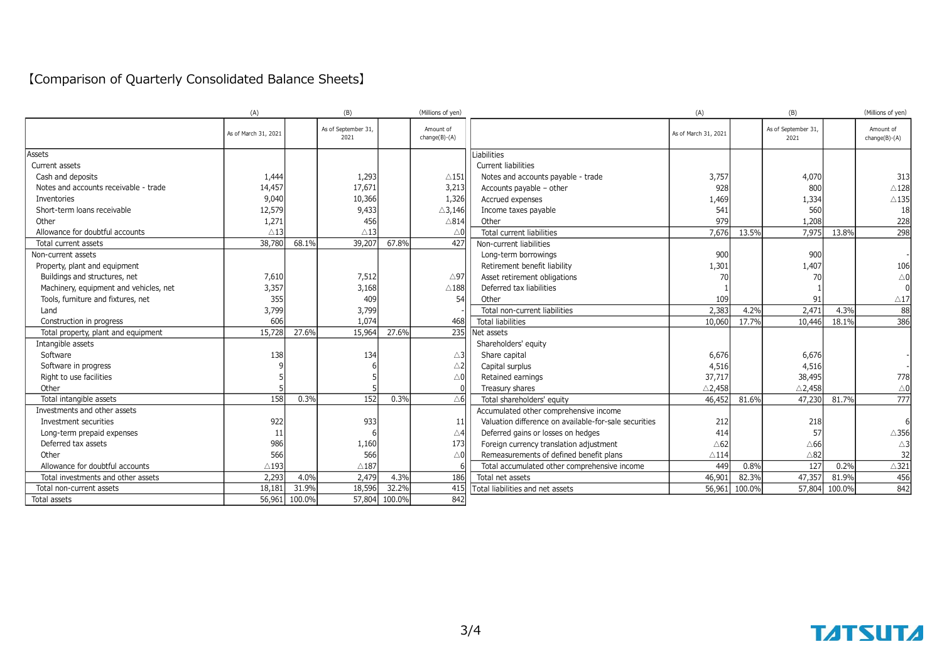# 【Comparison of Quarterly Consolidated Balance Sheets】

|                                        | (A)                  |        | (B)                         |               | (Millions of yen)          |                                                       | (A)                  |        | (B)                         |        | (Millions of yen)          |
|----------------------------------------|----------------------|--------|-----------------------------|---------------|----------------------------|-------------------------------------------------------|----------------------|--------|-----------------------------|--------|----------------------------|
|                                        | As of March 31, 2021 |        | As of September 31,<br>2021 |               | Amount of<br>change(B)-(A) |                                                       | As of March 31, 2021 |        | As of September 31,<br>2021 |        | Amount of<br>change(B)-(A) |
| Assets                                 |                      |        |                             |               |                            | Liabilities                                           |                      |        |                             |        |                            |
| Current assets                         |                      |        |                             |               |                            | <b>Current liabilities</b>                            |                      |        |                             |        |                            |
| Cash and deposits                      | 1,444                |        | 1,293                       |               | $\triangle$ 151            | Notes and accounts payable - trade                    | 3,757                |        | 4,070                       |        | 313                        |
| Notes and accounts receivable - trade  | 14,457               |        | 17,671                      |               | 3,213                      | Accounts payable - other                              | 928                  |        | 800                         |        | $\triangle$ 128            |
| Inventories                            | 9,040                |        | 10,366                      |               | 1,326                      | Accrued expenses                                      | 1,469                |        | 1,334                       |        | $\triangle$ 135            |
| Short-term loans receivable            | 12,579               |        | 9,433                       |               | $\triangle$ 3,146          | Income taxes payable                                  | 541                  |        | 560                         |        | 18                         |
| Other                                  | 1,271                |        | 456                         |               | $\triangle$ 814            | Other                                                 | 979                  |        | 1,208                       |        | 228                        |
| Allowance for doubtful accounts        | $\triangle$ 13       |        | $\triangle$ 13              |               | $\triangle 0$              | <b>Total current liabilities</b>                      | 7,676                | 13.5%  | 7,975                       | 13.8%  | 298                        |
| Total current assets                   | 38,780               | 68.1%  | 39,207                      | 67.8%         | 427                        | Non-current liabilities                               |                      |        |                             |        |                            |
| Non-current assets                     |                      |        |                             |               |                            | Long-term borrowings                                  | 900                  |        | 900                         |        |                            |
| Property, plant and equipment          |                      |        |                             |               |                            | Retirement benefit liability                          | 1,301                |        | 1,407                       |        | 106                        |
| Buildings and structures, net          | 7,610                |        | 7,512                       |               | $\triangle$ 97             | Asset retirement obligations                          | 70                   |        | 70                          |        | $\triangle$ 0              |
| Machinery, equipment and vehicles, net | 3,357                |        | 3,168                       |               | $\triangle$ 188            | Deferred tax liabilities                              |                      |        |                             |        |                            |
| Tools, furniture and fixtures, net     | 355                  |        | 409                         |               | 54                         | Other                                                 | 109                  |        | 91                          |        | $\triangle$ 17             |
| Land                                   | 3,799                |        | 3,799                       |               |                            | Total non-current liabilities                         | 2,383                | 4.2%   | 2,471                       | 4.3%   | 88                         |
| Construction in progress               | 606                  |        | 1,074                       |               | 468                        | <b>Total liabilities</b>                              | 10,060               | 17.7%  | 10,446                      | 18.1%  | 386                        |
| Total property, plant and equipment    | 15,728               | 27.6%  | 15,964                      | 27.6%         | 235                        | Net assets                                            |                      |        |                             |        |                            |
| Intangible assets                      |                      |        |                             |               |                            | Shareholders' equity                                  |                      |        |                             |        |                            |
| Software                               | 138                  |        | 134                         |               | $\triangle$ 3              | Share capital                                         | 6,676                |        | 6,676                       |        |                            |
| Software in progress                   |                      |        |                             |               | $\triangle$ 2              | Capital surplus                                       | 4,516                |        | 4,516                       |        |                            |
| Right to use facilities                |                      |        |                             |               | $\triangle$ 0              | Retained earnings                                     | 37,717               |        | 38,495                      |        | 778                        |
| Other                                  |                      |        |                             |               |                            | Treasury shares                                       | $\triangle$ 2,458    |        | $\triangle$ 2,458           |        | $\bigtriangleup 0$         |
| Total intangible assets                | 158                  | 0.3%   | 152                         | 0.3%          | $\triangle 6$              | Total shareholders' equity                            | 46,452               | 81.6%  | 47,230                      | 81.7%  | 777                        |
| Investments and other assets           |                      |        |                             |               |                            | Accumulated other comprehensive income                |                      |        |                             |        |                            |
| Investment securities                  | 922                  |        | 933                         |               | 11                         | Valuation difference on available-for-sale securities | 212                  |        | 218                         |        |                            |
| Long-term prepaid expenses             | 11                   |        |                             |               | $\triangle$ 4              | Deferred gains or losses on hedges                    | 414                  |        | 57                          |        | $\triangle$ 356            |
| Deferred tax assets                    | 986                  |        | 1,160                       |               | 173                        | Foreign currency translation adjustment               | $\triangle 62$       |        | $\triangle$ 66              |        | $\triangle$ 3              |
| Other                                  | 566                  |        | 566                         |               | $\triangle 0$              | Remeasurements of defined benefit plans               | $\triangle$ 114      |        | $\triangle 82$              |        | 32                         |
| Allowance for doubtful accounts        | $\triangle$ 193      |        | $\triangle$ 187             |               |                            | Total accumulated other comprehensive income          | 449                  | 0.8%   | 127                         | 0.2%   | $\triangle$ 321            |
| Total investments and other assets     | 2,293                | 4.0%   | 2,479                       | 4.3%          | 186                        | Total net assets                                      | 46,901               | 82.3%  | 47,357                      | 81.9%  | 456                        |
| Total non-current assets               | 18,181               | 31.9%  | 18,596                      | 32.2%         | 415                        | Total liabilities and net assets                      | 56,961               | 100.0% | 57,804                      | 100.0% | 842                        |
| Total assets                           | 56,961               | 100.0% |                             | 57,804 100.0% | 842                        |                                                       |                      |        |                             |        |                            |